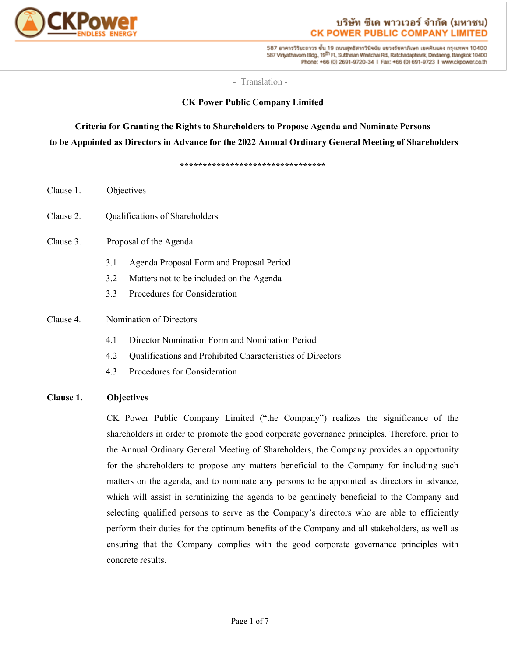

587 อาคารวิริยะถาวร ชั้น 19 ถนนสุทธิสารวินิจฉัย แขวงรัชคาภิเษก เขตดินแดง กรุงเทพฯ 10400 587 Virlyathavom Bldg., 19<sup>th</sup> Fl., Sutthisan Winitchai Rd., Ratchadaphisek, Dindaeng, Bangkok 10400 Phone: +66 (0) 2691-9720-34 | Fax: +66 (0) 691-9723 | www.ckpower.co.th

- Translation -

## **CK Power Public Company Limited**

# **Criteria for Granting the Rights to Shareholders to Propose Agenda and Nominate Persons to be Appointed as Directors in Advance for the 2022 Annual Ordinary General Meeting of Shareholders**

**\*\*\*\*\*\*\*\*\*\*\*\*\*\*\*\*\*\*\*\*\*\*\*\*\*\*\*\*\*\*\*\***

| Clause 1. | Objectives                     |                                                            |  |
|-----------|--------------------------------|------------------------------------------------------------|--|
| Clause 2. | Qualifications of Shareholders |                                                            |  |
| Clause 3. |                                | Proposal of the Agenda                                     |  |
|           | 3.1                            | Agenda Proposal Form and Proposal Period                   |  |
|           | 3.2                            | Matters not to be included on the Agenda                   |  |
|           | 3.3                            | Procedures for Consideration                               |  |
| Clause 4. | Nomination of Directors        |                                                            |  |
|           | 4.1                            | Director Nomination Form and Nomination Period             |  |
|           | 4.2                            | Qualifications and Prohibited Characteristics of Directors |  |
|           | 4.3                            | Procedures for Consideration                               |  |
|           |                                |                                                            |  |

## **Clause 1. Objectives**

CK Power Public Company Limited ("the Company") realizes the significance of the shareholders in order to promote the good corporate governance principles. Therefore, prior to the Annual Ordinary General Meeting of Shareholders, the Company provides an opportunity for the shareholders to propose any matters beneficial to the Company for including such matters on the agenda, and to nominate any persons to be appointed as directors in advance, which will assist in scrutinizing the agenda to be genuinely beneficial to the Company and selecting qualified persons to serve as the Company's directors who are able to efficiently perform their duties for the optimum benefits of the Company and all stakeholders, as well as ensuring that the Company complies with the good corporate governance principles with concrete results.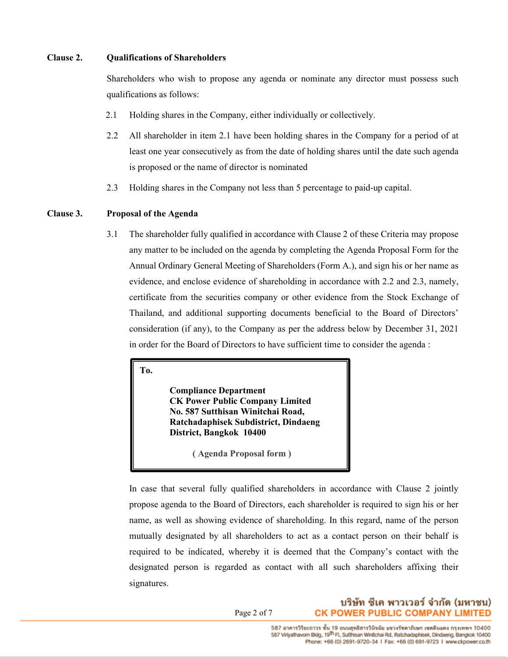#### **Clause 2. Qualifications of Shareholders**

Shareholders who wish to propose any agenda or nominate any director must possess such qualifications as follows:

- 2.1 Holding shares in the Company, either individually or collectively.
- 2.2 All shareholder in item 2.1 have been holding shares in the Company for a period of at least one year consecutively as from the date of holding shares until the date such agenda is proposed or the name of director is nominated
- 2.3 Holding shares in the Company not less than 5 percentage to paid-up capital.

#### **Clause 3. Proposal of the Agenda**

3.1 The shareholder fully qualified in accordance with Clause 2 of these Criteria may propose any matter to be included on the agenda by completing the Agenda Proposal Form for the Annual Ordinary General Meeting of Shareholders (Form A.), and sign his or her name as evidence, and enclose evidence of shareholding in accordance with 2.2 and 2.3, namely, certificate from the securities company or other evidence from the Stock Exchange of Thailand, and additional supporting documents beneficial to the Board of Directors' consideration (if any), to the Company as per the address below by December 31, 2021 in order for the Board of Directors to have sufficient time to consider the agenda :

**To.**

**Compliance Department CK Power Public Company Limited No. 587 Sutthisan Winitchai Road, Ratchadaphisek Subdistrict, Dindaeng District, Bangkok 10400**

 **( Agenda Proposal form )**

In case that several fully qualified shareholders in accordance with Clause 2 jointly propose agenda to the Board of Directors, each shareholder is required to sign his or her name, as well as showing evidence of shareholding. In this regard, name of the person mutually designated by all shareholders to act as a contact person on their behalf is required to be indicated, whereby it is deemed that the Company's contact with the designated person is regarded as contact with all such shareholders affixing their signatures.

> บริษัท ซีเค พาวเวอร์ จำกัด (มหาชน) **CK POWER PUBLIC COMPANY LIMITED**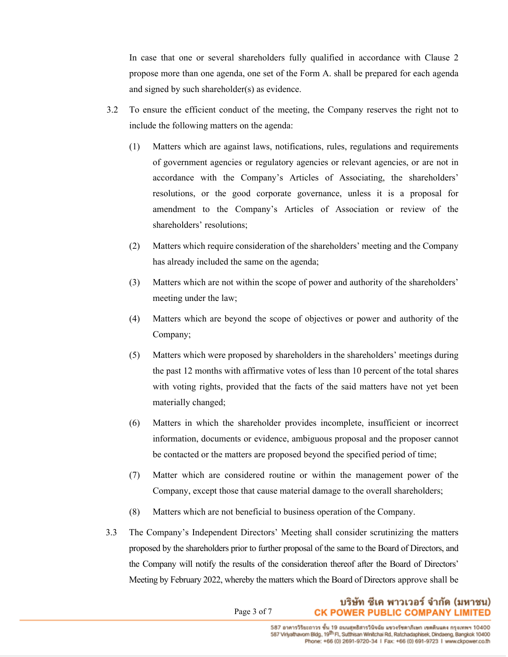In case that one or several shareholders fully qualified in accordance with Clause 2 propose more than one agenda, one set of the Form A. shall be prepared for each agenda and signed by such shareholder(s) as evidence.

- 3.2 To ensure the efficient conduct of the meeting, the Company reserves the right not to include the following matters on the agenda:
	- (1) Matters which are against laws, notifications, rules, regulations and requirements of government agencies or regulatory agencies or relevant agencies, or are not in accordance with the Company's Articles of Associating, the shareholders' resolutions, or the good corporate governance, unless it is a proposal for amendment to the Company's Articles of Association or review of the shareholders' resolutions;
	- (2) Matters which require consideration of the shareholders' meeting and the Company has already included the same on the agenda;
	- (3) Matters which are not within the scope of power and authority of the shareholders' meeting under the law;
	- (4) Matters which are beyond the scope of objectives or power and authority of the Company;
	- (5) Matters which were proposed by shareholders in the shareholders' meetings during the past 12 months with affirmative votes of less than 10 percent of the total shares with voting rights, provided that the facts of the said matters have not yet been materially changed;
	- (6) Matters in which the shareholder provides incomplete, insufficient or incorrect information, documents or evidence, ambiguous proposal and the proposer cannot be contacted or the matters are proposed beyond the specified period of time;
	- (7) Matter which are considered routine or within the management power of the Company, except those that cause material damage to the overall shareholders;
	- (8) Matters which are not beneficial to business operation of the Company.
- 3.3 The Company's Independent Directors' Meeting shall consider scrutinizing the matters proposed by the shareholders prior to further proposal of the same to the Board of Directors, and the Company will notify the results of the consideration thereof after the Board of Directors' Meeting by February 2022, whereby the matters which the Board of Directors approve shall be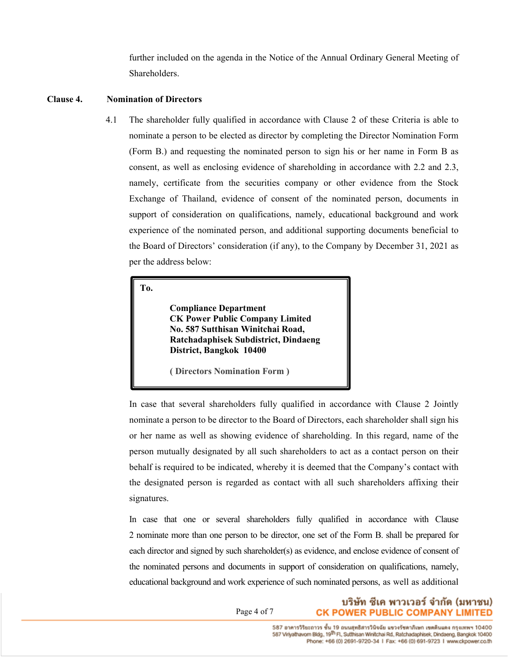further included on the agenda in the Notice of the Annual Ordinary General Meeting of Shareholders.

#### **Clause 4. Nomination of Directors**

4.1 The shareholder fully qualified in accordance with Clause 2 of these Criteria is able to nominate a person to be elected as director by completing the Director Nomination Form (Form B.) and requesting the nominated person to sign his or her name in Form B as consent, as well as enclosing evidence of shareholding in accordance with 2.2 and 2.3, namely, certificate from the securities company or other evidence from the Stock Exchange of Thailand, evidence of consent of the nominated person, documents in support of consideration on qualifications, namely, educational background and work experience of the nominated person, and additional supporting documents beneficial to the Board of Directors' consideration (if any), to the Company by December 31, 2021 as per the address below:

**To.**

**Compliance Department CK Power Public Company Limited No. 587 Sutthisan Winitchai Road, Ratchadaphisek Subdistrict, Dindaeng District, Bangkok 10400**

**( Directors Nomination Form )**

In case that several shareholders fully qualified in accordance with Clause 2 Jointly nominate a person to be director to the Board of Directors, each shareholder shall sign his or her name as well as showing evidence of shareholding. In this regard, name of the person mutually designated by all such shareholders to act as a contact person on their behalf is required to be indicated, whereby it is deemed that the Company's contact with the designated person is regarded as contact with all such shareholders affixing their signatures.

In case that one or several shareholders fully qualified in accordance with Clause 2 nominate more than one person to be director, one set of the Form B. shall be prepared for each director and signed by such shareholder(s) as evidence, and enclose evidence of consent of the nominated persons and documents in support of consideration on qualifications, namely, educational background and work experience of such nominated persons, as well as additional

Page 4 of 7

Phone: +66 (0) 2691-9720-34 | Fax: +66 (0) 691-9723 | www.ckpower.co.th

บริษัท ซีเค พาวเวอร์ จำกัด (มหาชน)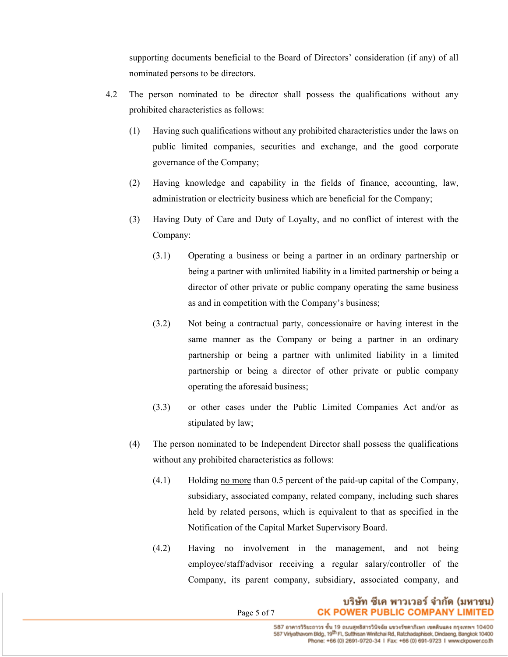supporting documents beneficial to the Board of Directors' consideration (if any) of all nominated persons to be directors.

- 4.2 The person nominated to be director shall possess the qualifications without any prohibited characteristics as follows:
	- (1) Having such qualifications without any prohibited characteristics under the laws on public limited companies, securities and exchange, and the good corporate governance of the Company;
	- (2) Having knowledge and capability in the fields of finance, accounting, law, administration or electricity business which are beneficial for the Company;
	- (3) Having Duty of Care and Duty of Loyalty, and no conflict of interest with the Company:
		- (3.1) Operating a business or being a partner in an ordinary partnership or being a partner with unlimited liability in a limited partnership or being a director of other private or public company operating the same business as and in competition with the Company's business;
		- (3.2) Not being a contractual party, concessionaire or having interest in the same manner as the Company or being a partner in an ordinary partnership or being a partner with unlimited liability in a limited partnership or being a director of other private or public company operating the aforesaid business;
		- (3.3) or other cases under the Public Limited Companies Act and/or as stipulated by law;
	- (4) The person nominated to be Independent Director shall possess the qualifications without any prohibited characteristics as follows:
		- (4.1) Holding no more than 0.5 percent of the paid-up capital of the Company, subsidiary, associated company, related company, including such shares held by related persons, which is equivalent to that as specified in the Notification of the Capital Market Supervisory Board.
		- (4.2) Having no involvement in the management, and not being employee/staff/advisor receiving a regular salary/controller of the Company, its parent company, subsidiary, associated company, and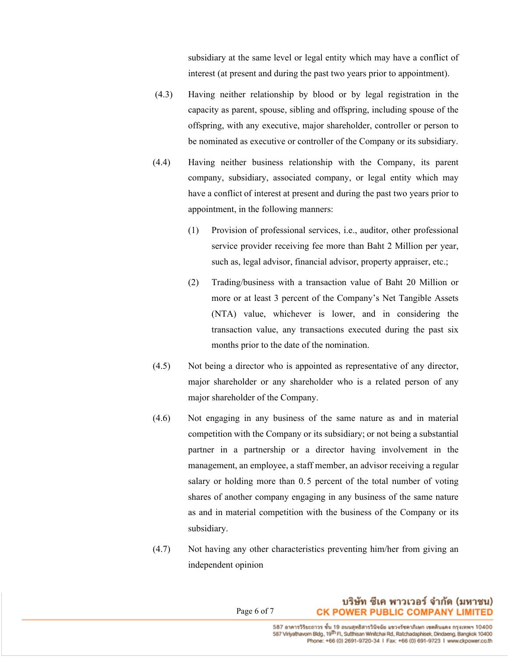subsidiary at the same level or legal entity which may have a conflict of interest (at present and during the past two years prior to appointment).

- (4.3) Having neither relationship by blood or by legal registration in the capacity as parent, spouse, sibling and offspring, including spouse of the offspring, with any executive, major shareholder, controller or person to be nominated as executive or controller of the Company or its subsidiary.
- (4.4) Having neither business relationship with the Company, its parent company, subsidiary, associated company, or legal entity which may have a conflict of interest at present and during the past two years prior to appointment, in the following manners:
	- (1) Provision of professional services, i.e., auditor, other professional service provider receiving fee more than Baht 2 Million per year, such as, legal advisor, financial advisor, property appraiser, etc.;
	- (2) Trading/business with a transaction value of Baht 20 Million or more or at least 3 percent of the Company's Net Tangible Assets (NTA) value, whichever is lower, and in considering the transaction value, any transactions executed during the past six months prior to the date of the nomination.
- (4.5) Not being a director who is appointed as representative of any director, major shareholder or any shareholder who is a related person of any major shareholder of the Company.
- (4.6) Not engaging in any business of the same nature as and in material competition with the Company or its subsidiary; or not being a substantial partner in a partnership or a director having involvement in the management, an employee, a staff member, an advisor receiving a regular salary or holding more than 0.5 percent of the total number of voting shares of another company engaging in any business of the same nature as and in material competition with the business of the Company or its subsidiary.
- (4.7) Not having any other characteristics preventing him/her from giving an independent opinion

## บริษัท ซีเค พาวเวอร์ จำกัด (มหาชน) **CK POWER PUBLIC COMPANY LIMITED**

Page 6 of 7